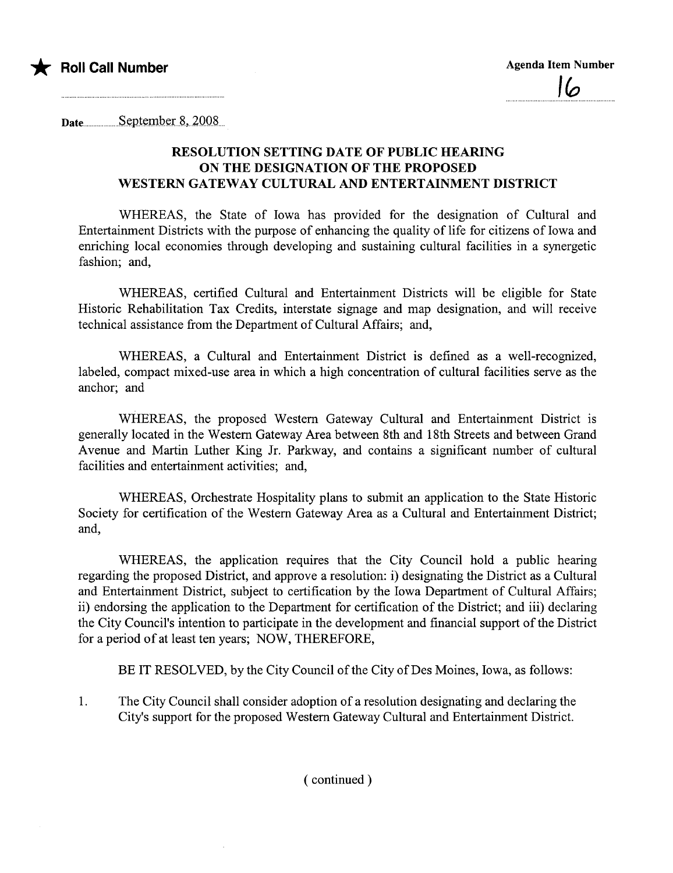

Date..... .......S~pt~mb~r..8.,..2QQ8...

## RESOLUTION SETTING DATE OF PUBLIC HEARNG ON THE DESIGNATION OF THE PROPOSED WESTERN GATEWAY CULTURAL AND ENTERTAINMENT DISTRICT

WHEREAS, the State of Iowa has provided for the designation of Cultural and Entertainment Districts with the purpose of enhancing the quality of life for citizens of Iowa and enriching local economies through developing and sustaining cultural facilities in a synergetic fashion; and,

WHEREAS, certified Cultural and Entertainment Districts will be eligible for State Historic Rehabilitation Tax Credits, interstate signage and map designation, and will receive technical assistance from the Deparment of Cultural Affairs; and,

WHEREAS, a Cultural and Entertainment District is defined as a well-recognized, labeled, compact mixed-use area in which a high concentration of cultural facilities serve as the anchor; and

WHEREAS, the proposed Western Gateway Cultural and Entertainment District is generally located in the Western Gateway Area between 8th and 18th Streets and between Grand Avenue and Martin Luther King Jr. Parkway, and contains a significant number of cultural facilities and entertainment activities; and,

WHEREAS, Orchestrate Hospitality plans to submit an application to the State Historic Society for certification of the Western Gateway Area as a Cultural and Entertainment District; and,

WHEREAS, the application requires that the City Council hold a public hearing regarding the proposed District, and approve a resolution: i) designating the District as a Cultural and Entertainment District, subject to certification by the Iowa Department of Cultural Affairs; ii) endorsing the application to the Department for certification of the District; and iii) declaring the City Council's intention to participate in the development and financial support of the District for a period of at least ten years; NOW, THEREFORE,

BE IT RESOLVED, by the City Council of the City of Des Moines, Iowa, as follows:

1. The City Council shall consider adoption of a resolution designating and declaring the City's support for the proposed Western Gateway Cultural and Entertainment District.

( continued)